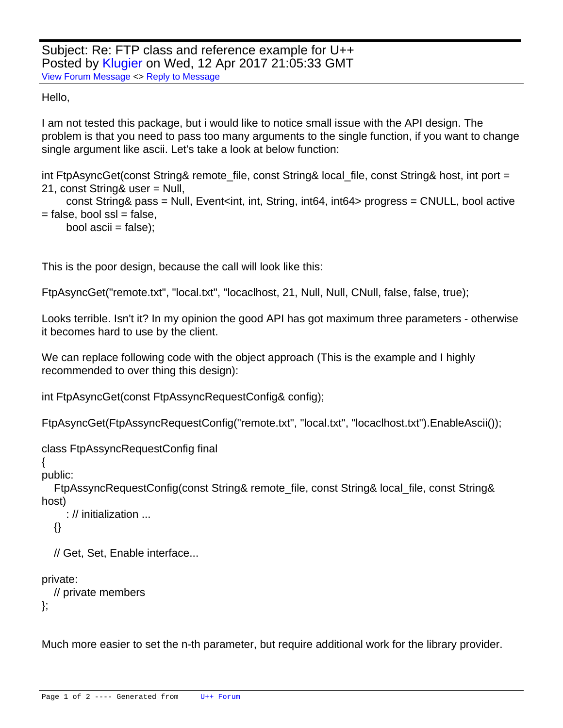Subject: Re: FTP class and reference example for U++ Posted by [Klugier](https://www.ultimatepp.org/forums/index.php?t=usrinfo&id=1517) on Wed, 12 Apr 2017 21:05:33 GMT [View Forum Message](https://www.ultimatepp.org/forums/index.php?t=rview&th=8899&goto=47859#msg_47859) <> [Reply to Message](https://www.ultimatepp.org/forums/index.php?t=post&reply_to=47859)

Hello,

I am not tested this package, but i would like to notice small issue with the API design. The problem is that you need to pass too many arguments to the single function, if you want to change single argument like ascii. Let's take a look at below function:

int FtpAsyncGet(const String& remote\_file, const String& local\_file, const String& host, int port = 21, const String& user = Null,

 const String& pass = Null, Event<int, int, String, int64, int64> progress = CNULL, bool active  $=$  false, bool ssl  $=$  false,

```
bool ascii = false);
```
This is the poor design, because the call will look like this:

FtpAsyncGet("remote.txt", "local.txt", "locaclhost, 21, Null, Null, CNull, false, false, true);

Looks terrible. Isn't it? In my opinion the good API has got maximum three parameters - otherwise it becomes hard to use by the client.

We can replace following code with the object approach (This is the example and I highly recommended to over thing this design):

int FtpAsyncGet(const FtpAssyncRequestConfig& config);

FtpAsyncGet(FtpAssyncRequestConfig("remote.txt", "local.txt", "locaclhost.txt").EnableAscii());

class FtpAssyncRequestConfig final

{

public:

 FtpAssyncRequestConfig(const String& remote\_file, const String& local\_file, const String& host)

```
 : // initialization ...
 {}
```
// Get, Set, Enable interface...

private:

```
 // private members
};
```
Much more easier to set the n-th parameter, but require additional work for the library provider.